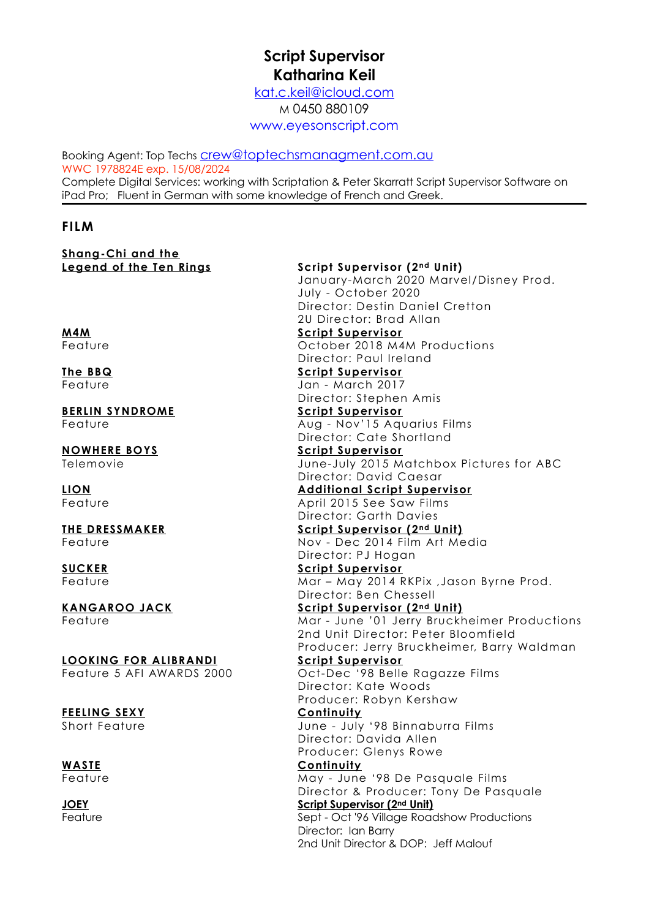# **Script Supervisor Katharina Keil**

[kat.c.keil@icloud.com](mailto:kat.c.keil@icloud.com) M 0450 880109 [www.eyesonscript.com](http://www.eyesonscript.com)

Booking Agent: Top Techs [crew@toptechsmanagment.com.au](mailto:crew@toptechsmanagment.com.au) WWC 1978824E exp. 15/08/2024 Complete Digital Services: working with Scriptation & Peter Skarratt Script Supervisor Software on iPad Pro; Fluent in German with some knowledge of French and Greek.

### **FILM**

**Shang-Chi and the** 

**LOOKING FOR ALIBRANDI Script Supervisor**

**Legend of the Ten Rings Script Supervisor (2nd Unit)** January-March 2020 Marvel/Disney Prod. July - October 2020 Director: Destin Daniel Cretton 2U Director: Brad Allan **M4M Script Supervisor** Feature **Contract Contract Contract Contract Contract Contract Contract Contract Contract Contract Contract Contract Contract Contract Contract Contract Contract Contract Contract Contract Contract Contract Contract Contra** Director: Paul Ireland **The BBQ Script Supervisor** Feature Jan - March 2017 Director: Stephen Amis **BERLIN SYNDROME Script Supervisor** Feature **Aug - Nov'15 Aquarius Films** Director: Cate Shortland **NOWHERE BOYS Script Supervisor** Telemovie June-July 2015 Matchbox Pictures for ABC Director: David Caesar **LION Additional Script Supervisor** Feature **April 2015** See Saw Films Director: Garth Davies **THE DRESSMAKER Script Supervisor (2nd Unit)** Feature Nov - Dec 2014 Film Art Media Director: PJ Hogan **SUCKER Script Supervisor** Feature Mar – May 2014 RKPix ,Jason Byrne Prod. Director: Ben Chessell **KANGAROO JACK Script Supervisor (2nd Unit)** Feature Mar - June '01 Jerry Bruckheimer Productions 2nd Unit Director: Peter Bloomfield Producer: Jerry Bruckheimer, Barry Waldman Feature 5 AFI AWARDS 2000 Oct-Dec '98 Belle Ragazze Films Director: Kate Woods Producer: Robyn Kershaw **FEELING SEXY Continuity** Short Feature June - July '98 Binnaburra Films Director: Davida Allen Producer: Glenys Rowe **WASTE Continuity** Feature May - June '98 De Pasquale Films Director & Producer: Tony De Pasquale **JOEY Script Supervisor (2nd Unit)** Feature **Sept - Oct '96 Village Roadshow Productions** Director: Ian Barry 2nd Unit Director & DOP: Jeff Malouf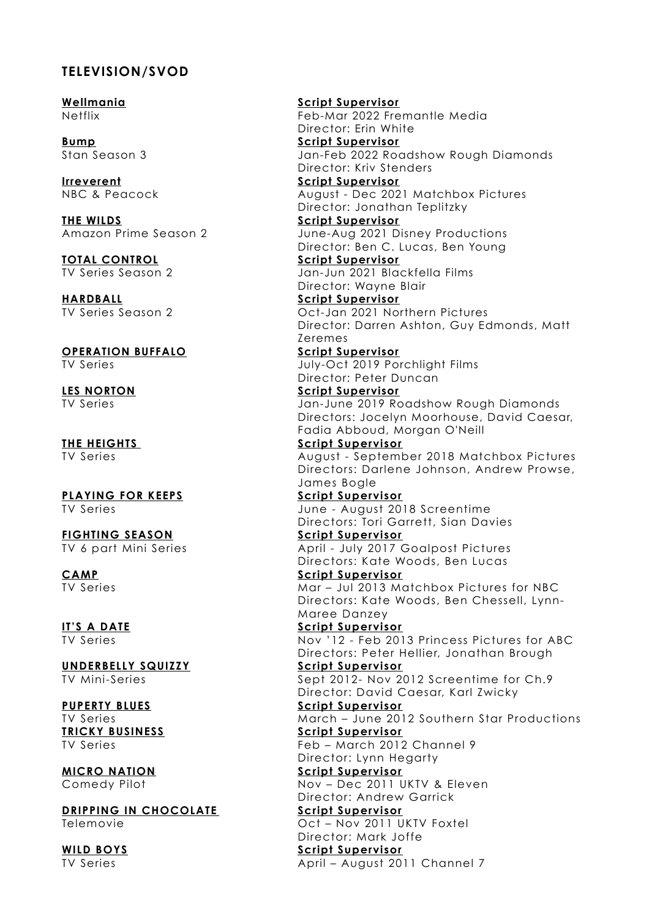### **TELEVISION/SVOD**

**Wellmania Script Supervisor**

**THE WILDS Script Supervisor**

**OPERATION BUFFALO Script Supervisor**

**DRIPPING IN CHOCOLATE** 

Netflix Feb-Mar 2022 Fremantle Media Director: Erin White **Bump Script Supervisor** Jan-Feb 2022 Roadshow Rough Diamonds Director: Kriv Stenders **Irreverent Script Supervisor** NBC & Peacock August - Dec 2021 Matchbox Pictures Director: Jonathan Teplitzky June-Aug 2021 Disney Productions Director: Ben C. Lucas, Ben Young **TOTAL CONTROL Script Supervisor** TV Series Season 2 Jan-Jun 2021 Blackfella Films Director: Wayne Blair **HARDBALL Script Supervisor** TV Series Season 2 Oct-Jan 2021 Northern Pictures Director: Darren Ashton, Guy Edmonds, Matt Zeremes TV Series July-Oct 2019 Porchlight Films Director: Peter Duncan **LES NORTON Script Supervisor** TV Series Jan-June 2019 Roadshow Rough Diamonds Directors: Jocelyn Moorhouse, David Caesar, Fadia Abboud, Morgan O'Neill **THE HEIGHTS Script Supervisor** TV Series August - September 2018 Matchbox Pictures Directors: Darlene Johnson, Andrew Prowse, James Bogle **PLAYING FOR KEEPS Script Supervisor** TV Series June - August 2018 Screentime Directors: Tori Garrett, Sian Davies **FIGHTING SEASON Script Supervisor** TV 6 part Mini Series April - July 2017 Goalpost Pictures Directors: Kate Woods, Ben Lucas **CAMP Script Supervisor** TV Series Mar – Jul 2013 Matchbox Pictures for NBC Directors: Kate Woods, Ben Chessell, Lynn-Maree Danzey **IT'S A DATE Script Supervisor** TV Series Nov '12 - Feb 2013 Princess Pictures for ABC Directors: Peter Hellier, Jonathan Brough **UNDERBELLY SQUIZZY Script Supervisor** TV Mini-Series Sept 2012- Nov 2012 Screentime for Ch.9 Director: David Caesar, Karl Zwicky **PUPERTY BLUES Script Supervisor** TV Series March – June 2012 Southern Star Productions **TRICKY BUSINESS Script Supervisor** TV Series Feb – March 2012 Channel 9 Director: Lynn Hegarty **MICRO NATION Script Supervisor** Comedy Pilot Nov – Dec 2011 UKTV & Eleven Director: Andrew Garrick<br>**Script Supervisor** Telemovie Oct – Nov 2011 UKTV Foxtel Director: Mark Joffe **WILD BOYS Script Supervisor** TV Series **April – August 2011 Channel 7**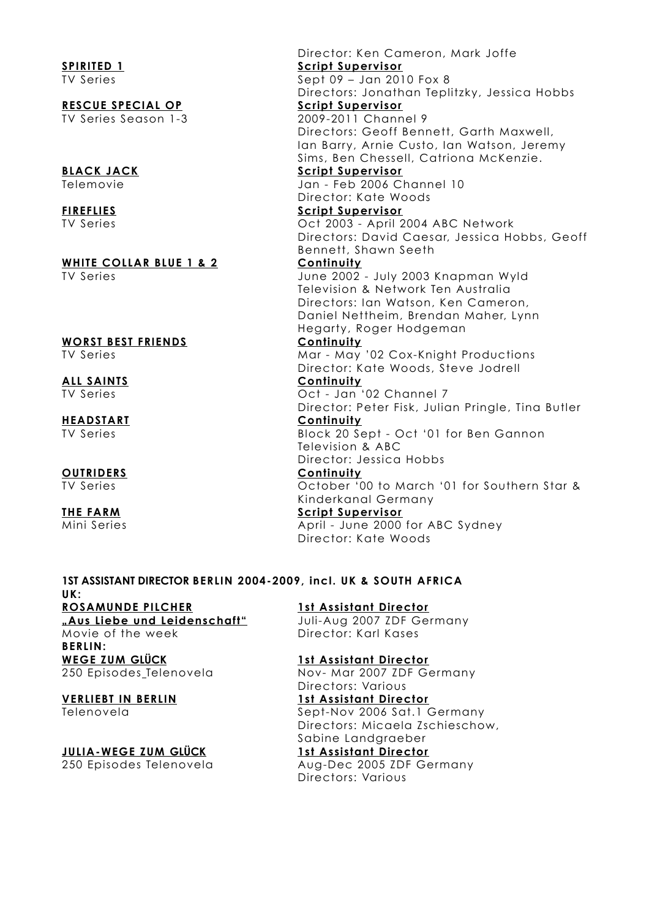# **WHITE COLLAR BLUE 1 & 2 Continuity**

# **WORST BEST FRIENDS Continuity**

# **ALL SAINTS Continuity**

# **HEADSTART Continuity**

**OUTRIDERS Continuity**

Director: Ken Cameron, Mark Joffe **SPIRITED 1 Script Supervisor** TV Series Sept 09 – Jan 2010 Fox 8 Directors: Jonathan Teplitzky, Jessica Hobbs **RESCUE SPECIAL OP Script Supervisor** TV Series Season 1-3 2009-2011 Channel 9 Directors: Geoff Bennett, Garth Maxwell, Ian Barry, Arnie Custo, Ian Watson, Jeremy Sims, Ben Chessell, Catriona McKenzie. **BLACK JACK** Script Supervisor Telemovie Jan - Feb 2006 Channel 10 Director: Kate Woods **FIREFLIES Script Supervisor** TV Series Oct 2003 - April 2004 ABC Network Directors: David Caesar, Jessica Hobbs, Geoff Bennett, Shawn Seeth

TV Series June 2002 - July 2003 Knapman Wyld Television & Network Ten Australia Directors: Ian Watson, Ken Cameron, Daniel Nettheim, Brendan Maher, Lynn Hegarty, Roger Hodgeman

TV Series **Mar - May '02 Cox-Knight Productions** Director: Kate Woods, Steve Jodrell

TV Series Oct - Jan '02 Channel 7 Director: Peter Fisk, Julian Pringle, Tina Butler

TV Series Block 20 Sept - Oct '01 for Ben Gannon Television & ABC

Director: Jessica Hobbs

TV Series October '00 to March '01 for Southern Star & Kinderkanal Germany

### **THE FARM Script Supervisor**

Mini Series **April - June 2000 for ABC Sydney** Director: Kate Woods

### **1ST ASSISTANT DIRECTOR BERLIN 2004-2009, incl. UK & SOUTH AFRICA UK: ROSAMUNDE PILCHER 1st Assistant Director "Aus Liebe und Leidenschaft"** Juli-Aug 2007 ZDF Germany Movie of the week **Director:** Karl Kases

**BERLIN: WEGE ZUM GLÜCK 1st Assistant Director**

### **VERLIEBT IN BERLIN 1st Assistant Director**

### **JULIA-WEGE ZUM GLÜCK 1st Assistant Director**

250 Episodes Telenovela Nov- Mar 2007 ZDF Germany Directors: Various

Telenovela Sept-Nov 2006 Sat.1 Germany Directors: Micaela Zschieschow, Sabine Landgraeber

250 Episodes Telenovela Aug-Dec 2005 ZDF Germany Directors: Various